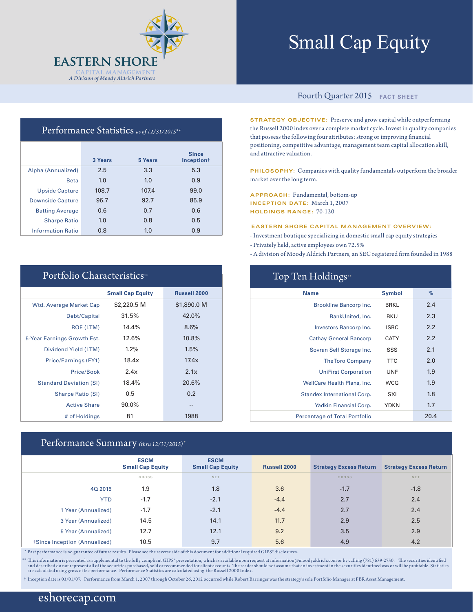

# Small Cap Equity

#### Performance Statistics *as of 12/31/2015\*\**

|                          | 3 Years | 5 Years | <b>Since</b><br>Inception <sup>+</sup> |
|--------------------------|---------|---------|----------------------------------------|
| Alpha (Annualized)       | 2.5     | 3.3     | 5.3                                    |
| <b>Beta</b>              | 1.0     | 1.0     | 0.9                                    |
| <b>Upside Capture</b>    | 108.7   | 107.4   | 99.0                                   |
| <b>Downside Capture</b>  | 96.7    | 92.7    | 85.9                                   |
| <b>Batting Average</b>   | 0.6     | 0.7     | 0.6                                    |
| <b>Sharpe Ratio</b>      | 1.0     | 0.8     | 0.5                                    |
| <b>Information Ratio</b> | 0.8     | 1.0     | 0.9                                    |

| Portfolio Characteristics <sup>**</sup> |                         |                     |  |  |  |  |
|-----------------------------------------|-------------------------|---------------------|--|--|--|--|
|                                         | <b>Small Cap Equity</b> | <b>Russell 2000</b> |  |  |  |  |
| Wtd. Average Market Cap                 | \$2,220.5 M             | \$1,890.0 M         |  |  |  |  |
| Debt/Capital                            | 31.5%                   | 42.0%               |  |  |  |  |
| ROE (LTM)                               | 14.4%                   | 8.6%                |  |  |  |  |
| 5-Year Earnings Growth Est.             | 12.6%                   | 10.8%               |  |  |  |  |
| Dividend Yield (LTM)                    | 1.2%                    | 1.5%                |  |  |  |  |
| Price/Earnings (FY1)                    | 18.4x                   | 17.4x               |  |  |  |  |
| Price/Book                              | 2.4x                    | 2.1x                |  |  |  |  |
| <b>Standard Deviation (SI)</b>          | 18.4%                   | 20.6%               |  |  |  |  |
| <b>Sharpe Ratio (SI)</b>                | 0.5                     | 0.2                 |  |  |  |  |
| <b>Active Share</b>                     | $90.0\%$                | --                  |  |  |  |  |
| # of Holdings                           | 81                      | 1988                |  |  |  |  |

### Performance Summary *(thru 12/31/2015)\**

#### Fourth Quarter 2015 **FACT SHEET**

**STRATEGY OBJECTIVE:** Preserve and grow capital while outperforming the Russell 2000 index over a complete market cycle. Invest in quality companies that possess the following four attributes: strong or improving financial positioning, competitive advantage, management team capital allocation skill, and attractive valuation.

**PHILOSOPHY:** Companies with quality fundamentals outperform the broader market over the long term.

**APPROACH:** Fundamental, bottom-up **INCEPTION DATE:** March 1, 2007 **HOLDINGS RANGE:** 70-120

#### **EASTERN SHORE CAPITAL MANAGEMENT OVERVIEW:**

- Investment boutique specializing in domestic small cap equity strategies
- Privately held, active employees own 72.5%
- A division of Moody Aldrich Partners, an SEC registered firm founded in 1988

| Top Ten Holdings <sup>*</sup>        |               |      |  |  |  |  |
|--------------------------------------|---------------|------|--|--|--|--|
| <b>Name</b>                          | <b>Symbol</b> | $\%$ |  |  |  |  |
| Brookline Bancorp Inc.               | <b>BRKL</b>   | 2.4  |  |  |  |  |
| BankUnited, Inc.                     | <b>BKU</b>    | 2.3  |  |  |  |  |
| Investors Bancorp Inc.               | <b>ISBC</b>   | 2.2  |  |  |  |  |
| <b>Cathay General Bancorp</b>        | <b>CATY</b>   | 2.2  |  |  |  |  |
| Sovran Self Storage Inc.             | SSS           | 2.1  |  |  |  |  |
| <b>The Toro Company</b>              | <b>TTC</b>    | 2.0  |  |  |  |  |
| <b>UniFirst Corporation</b>          | UNF           | 1.9  |  |  |  |  |
| WellCare Health Plans, Inc.          | <b>WCG</b>    | 1.9  |  |  |  |  |
| Standex International Corp.          | SXI           | 1.8  |  |  |  |  |
| Yadkin Financial Corp.               | <b>YDKN</b>   | 1.7  |  |  |  |  |
| <b>Percentage of Total Portfolio</b> |               | 20.4 |  |  |  |  |

|                              | <b>ESCM</b><br><b>Small Cap Equity</b> | <b>ESCM</b><br><b>Small Cap Equity</b> | <b>Russell 2000</b> | <b>Strategy Excess Return</b> | <b>Strategy Excess Return</b> |
|------------------------------|----------------------------------------|----------------------------------------|---------------------|-------------------------------|-------------------------------|
|                              | GROSS                                  | NET                                    |                     | <b>GROSS</b>                  | NET                           |
| 40 2015                      | 1.9                                    | 1.8                                    | 3.6                 | $-1.7$                        | $-1.8$                        |
| <b>YTD</b>                   | $-1.7$                                 | $-2.1$                                 | $-4.4$              | 2.7                           | 2.4                           |
| 1 Year (Annualized)          | $-1.7$                                 | $-2.1$                                 | $-4.4$              | 2.7                           | 2.4                           |
| 3 Year (Annualized)          | 14.5                                   | 14.1                                   | 11.7                | 2.9                           | 2.5                           |
| 5 Year (Annualized)          | 12.7                                   | 12.1                                   | 9.2                 | 3.5                           | 2.9                           |
| Since Inception (Annualized) | 10.5                                   | 9.7                                    | 5.6                 | 4.9                           | 4.2                           |

\* Past performance is no guarantee of future results. Please see the reverse side of this document for additional required GIPS® disclosures.

\*\* This information is presented as supplemental to the fully compliant GIPS\* presentation, which is available upon request at information@moodyaldrich.com or by calling (781) 639-2750. The securities identified<br>and descri

† Inception date is 03/01/07. Performance from March 1, 2007 through October 26, 2012 occurred while Robert Barringer was the strategy's sole Portfolio Manager at FBR Asset Management.

### eshorecap.com